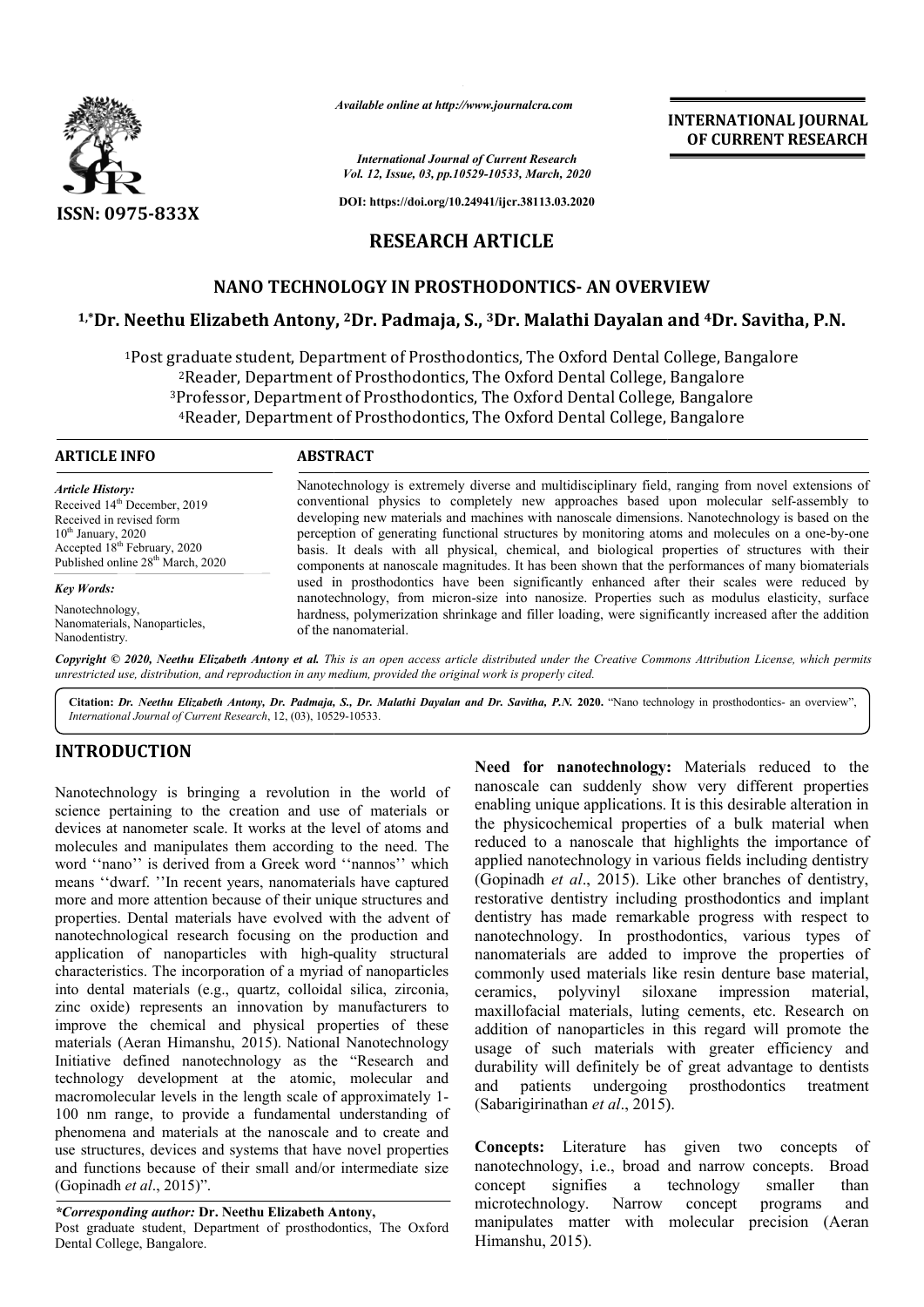

*Available online at http://www.journalcra.com*

*International Journal of Current Research Vol. 12, Issue, 03, pp.10529-10533, March, 2020*

**DOI: https://doi.org/10.24941/ijcr.38113.03.2020**

# **RESEARCH ARTICLE**

# **NANO TECHNOLOGY IN PROSTHODONTICS- AN OVERVIEW**

## **1,\*Dr. Neethu Elizabeth Antony Antony, 2Dr. Padmaja, S., 3Dr. Malathi Dayalan and 4Dr. Savitha, P.N.**

<sup>1</sup>Post graduate student, Department of Prosthodontics, The Oxford Dental College, Bangalore <sup>2</sup>Reader, Department of Prosthodontics, The Oxford Dental College, Bangalore <sup>3</sup>Professor, Department of Prosthodontics, The Oxford Dental College, Bangalore <sup>4</sup>Reader, Department of Prosthodontics, The Oxford Dental College, Bangalore dontics,<br>, The Oxi<br>:s, The Oxi<br>, The Oxi

#### **ARTICLE INFO ABSTRACT**

*Article History:* Received 14<sup>th</sup> December, 2019 Received in revised form  $10^{th}$  January, 2020 Accepted 18<sup>th</sup> February, 2020 Published online 28<sup>th</sup> March, 2020

*Key Words:*

Nanotechnology, Nanomaterials, Nanoparticles, Nanodentistry.

Nanotechnology is extremely diverse and multidisciplinary field, ranging from novel extensions of conventional physics to completely new approaches based upon molecular self-assembly to developing new materials and machines with nanoscale dimensions. Nanotechnology is based on the perception of generating functional structures by monitoring atoms and molecules on a one-by-one basis. It deals with all physical, chemical, and biological properties of structures with their components at nanoscale magnitudes. It has been shown that the performances of many biomaterials used in prosthodontics have been significantly enhanced after their scales were reduced by nanotechnology, from micron micron-size into nanosize. Properties such as modulus elasticity, surface hardness, polymerization shrinkage and filler loading, were significantly increased after the addition of the nanomaterial. basis. It deals with all physical, chemical, and biological properties of structures with their components at nanoscale magnitudes. It has been shown that the performances of many biomaterials used in prosthodontics have b

Copyright © 2020, Neethu Elizabeth Antony et al. This is an open access article distributed under the Creative Commons Attribution License, which permits *unrestricted use, distribution, and reproduction in any medium, provided the original work is properly cited.*

Citation: Dr. Neethu Elizabeth Antony, Dr. Padmaja, S., Dr. Malathi Dayalan and Dr. Savitha, P.N. 2020. "Nano technology in prosthodontics- an overview", *International Journal of Current Research*, 12, (03), 10529 10529-10533.

## **INTRODUCTION**

Nanotechnology is bringing a revolution in the world of science pertaining to the creation and use of materials or devices at nanometer scale. It works at the level of atoms and molecules and manipulates them according to the need. The word ''nano'' is derived from a Greek word ''nannos'' which means ''dwarf. ''In recent years, nanomaterials have captured more and more attention because of their unique structures and properties. Dental materials have evolved with the advent of nanotechnological research focusing on the production and application of nanoparticles with high-quality structural characteristics. The incorporation of a myriad of nanoparticles into dental materials (e.g., quartz, colloidal silica, zirconia, zinc oxide) represents an innovation by manufacturers to improve the chemical and physical properties of these materials (Aeran Himanshu, 2015). National Nanotechnology Initiative defined nanotechnology as the "Research and technology development at the atomic, molecular and macromolecular levels in the length scale of approximately 1 1- 100 nm range, to provide a fundamental understanding of phenomena and materials at the nanoscale and to create and use structures, devices and systems that have novel properties and functions because of their small and/or intermediate size (Gopinadh *et al*., 2015)". rials have captured<br>
ique structures and<br>
with the advent of<br>
he production and<br>
-quality structural

*\*Corresponding author:* **Dr. Neethu Elizabeth Antony Antony,** Post graduate student, Department of prosthodontics, The Oxford Dental College, Bangalore.

**Need for nanotechnology:**  Materials reduced to the nanoscale can suddenly show very different properties enabling unique applications. It is this desirable alteration in the physicochemical properties of a bulk material when reduced to a nanoscale that highlights the importance of applied nanotechnology in various fields including dentistry (Gopinadh *et al.*, 2015). Like other branches of dentistry. restorative dentistry including prosthodontics and implant dentistry has made remarkable progress with respect to nanotechnology. In prosthodontics, various types of nanomaterials are added to improve the properties of restorative dentistry including prosthodontics and implant<br>dentistry has made remarkable progress with respect to<br>nanontechnology. In prosthodontics, various types of<br>nanomaterials are added to improve the properties of<br>co ceramics, polyvinyl siloxane impression material, maxillofacial materials, luting cements, etc. Research on addition of nanoparticles in this regard will promote the usage of such materials with greater efficiency and durability will definitely be of great advantage to dentists and patients undergoing prosthodontics treatment (Sabarigirinathan *et al*., 2015) the physicochemical properties of a bulk material when reduced to a nanoscale that highlights the importance of applied nanotechnology in various fields including dentistry (Gopinadh *et al.*, 2015). Like other branches of ofacial materials, luting cements, etc. Research on n of nanoparticles in this regard will promote the of such materials with greater efficiency and tity will definitely be of great advantage to dentists patients undergoi

**INTERNATIONAL JOURNAL OF CURRENT RESEARCH**

**Concepts:** Literature has given two concepts of **Concepts:** Literature has given two concepts of nanotechnology, i.e., broad and narrow concepts. Broad concept signifies a technology smaller than microtechnology. Narrow concept programs and manipulates matter with molecular precision (Aeran Himanshu, 2015). programs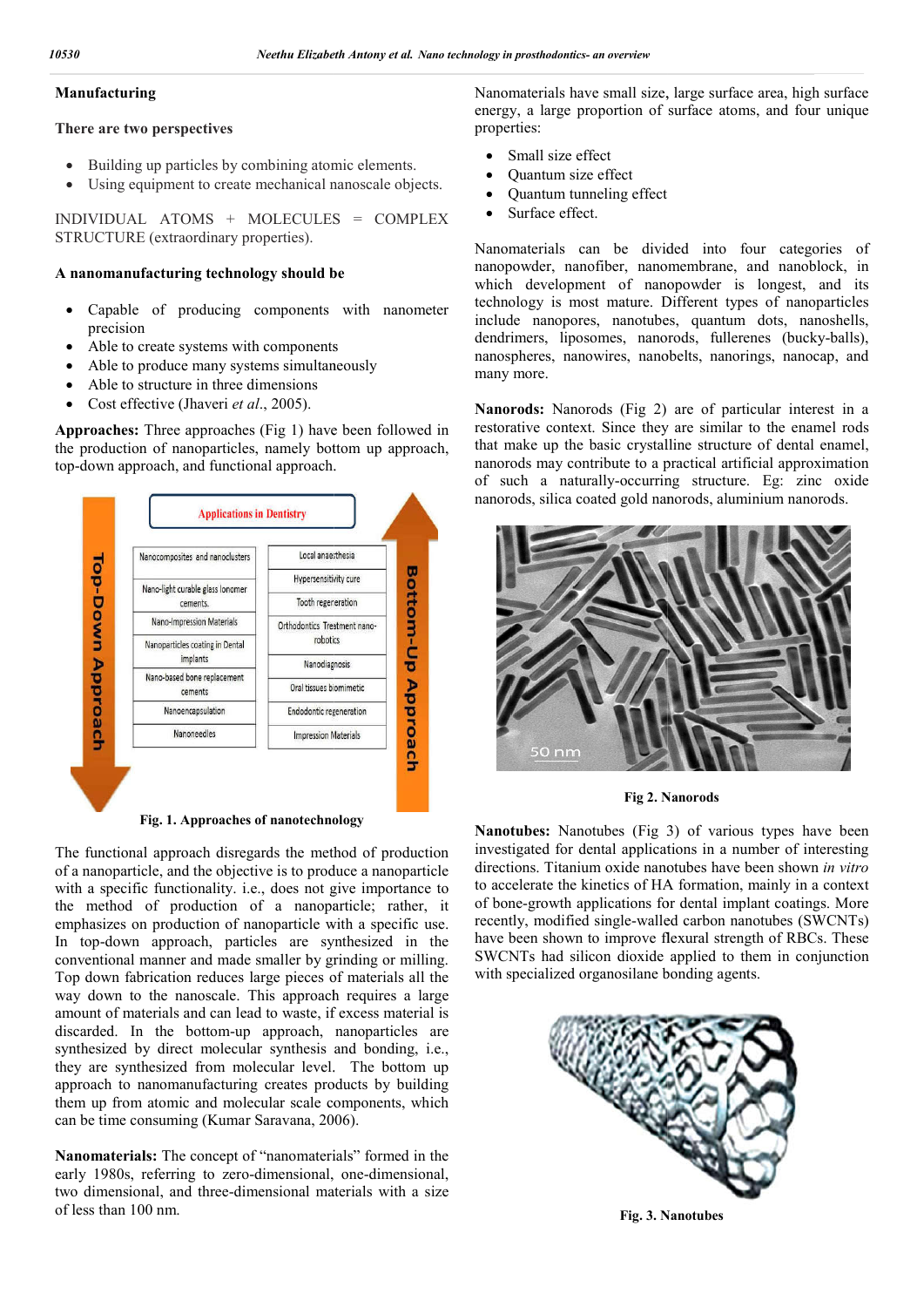#### **Manufacturing**

**There are two perspectives**

- Building up particles by combining atomic elements.
- Using equipment to create mechanical nanoscale objects.

INDIVIDUAL ATOMS + MOLECULES = COMPLEX STRUCTURE (extraordinary properties).

#### **A nanomanufacturing technology should be**

- Capable of producing components with nanometer precision
- Able to create systems with components
- Able to produce many systems simultaneously
- Able to structure in three dimensions
- Cost effective (Jhaveri *et al*., 2005).

**Approaches:** Three approaches (Fig 1) have been followed in the production of nanoparticles, namely bottom up approach, top-down approach, and functional approach.



**Fig. 1. Approaches of nanotechnology**

The functional approach disregards the method of production of a nanoparticle, and the objective is to produce a nanoparticle with a specific functionality. i.e., does not give importance to the method of production of a nanoparticle; rather, it emphasizes on production of nanoparticle with a specific use. In top-down approach, particles are synthesized in the conventional manner and made smaller by grinding or milling. Top down fabrication reduces large pieces of materials all the way down to the nanoscale. This approach requires a large amount of materials and can lead to waste, if excess material is discarded. In the bottom-up approach, nanoparticles are synthesized by direct molecular synthesis and bonding, i.e., they are synthesized from molecular level. The bottom up approach to nanomanufacturing creates products by building them up from atomic and molecular scale components, which can be time consuming (Kumar Saravana, 2006 ch to nanomanufacturing creates product<br>up from atomic and molecular scale comp<br>time consuming (Kumar Saravana, 2006).

**Nanomaterials:** The concept of "nanomaterials" formed in the early 1980s, referring to zero-dimensional, one-dimensional, two dimensional, and three-dimensional materials with a size of less than 100 nm.

energy, a large proportion of surface atoms, and four unique properties:

- Small size effect
- Quantum size effect
- Quantum tunneling effect
- Surface effect.

Nanomaterials can be divided into four categories of nanopowder, nanofiber, nanomembrane, and nanoblock, in which development of nanopowder is longest, and its technology is most mature. Different types of nanoparticles include nanopores, nanotubes, quantum dots, nanoshells, dendrimers, liposomes, nanorods, fullerenes (bucky-balls), nanospheres, nanowires, nanobelts, nanorings, nanocap, and many more. nanospheres, nanowires, nanobelts, nanorings, nanocap, and<br>many more.<br>**Nanorods:** Nanorods (Fig 2) are of particular interest in a have large area, large surface and effect be divided nanofiber, nanomembrane, of its types quantum fullerenes (bucky-balls),

restorative context. Since they are similar to the enamel rods that make up the basic crystalline structure of dental enamel, nanorods may contribute to a practical artificial approximation nanorods may contribute to a practical artificial approximation<br>of such a naturally-occurring structure. Eg: zinc oxide nanorods, silica coated gold nanorods, aluminium nanorods. aluminium



**Fig 2. Nanorods Nanorods**

**Nanotubes:** Nanotubes (Fig 3) of various types have been investigated for dental applications in a number of interesting directions. Titanium oxide nanotubes have been shown in vitro to accelerate the kinetics of HA formation, mainly in a context of bone-growth applications for dental implant coatings. More recently, modified single-walled carbon nanotubes (SWCNTs) have been shown to improve flexural strength of RBCs. These SWCNTs had silicon dioxide applied to them in conjunction with specialized organosilane bonding agents. Nanotubes: Nanotubes (Fig 3) of various types have been<br>investigated for dental applications in a number of interesting<br>directions. Titanium oxide nanotubes have been shown *in vitro* to accelerate the kinetics of HA formation, mainly in a context of bone-growth applications for dental implant coatings. More recently, modified single-walled carbon nanotubes (SWCNTs) have been shown to improve flexural s



**Fig. 3. Nanotubes**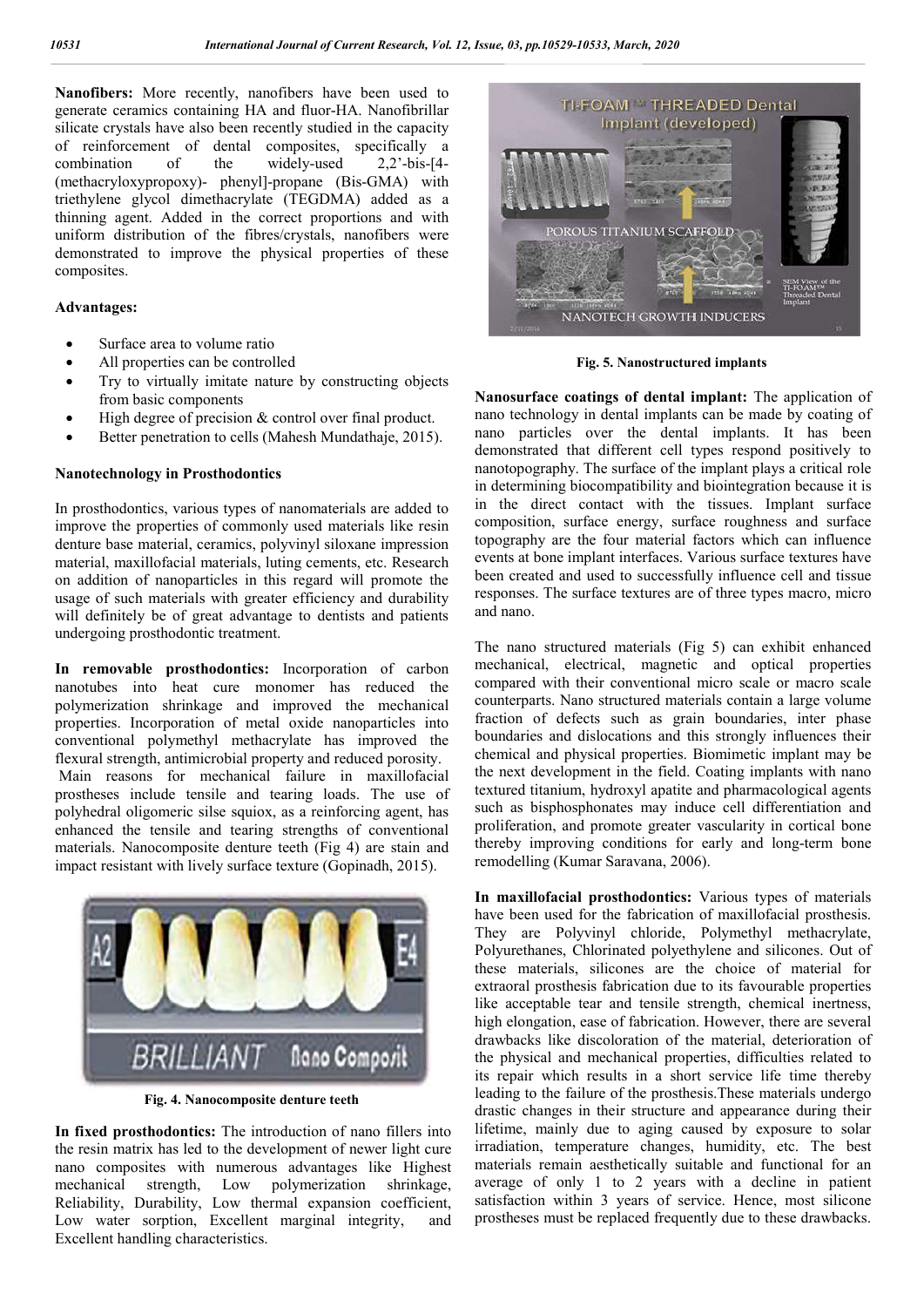**Nanofibers:** More recently, nanofibers have been used to generate ceramics containing HA and fluor-HA. Nanofibrillar silicate crystals have also been recently studied in the capacity of reinforcement of dental composites, specifically a<br>combination of the widely-used 2.2'-bis-[4combination of the (methacryloxypropoxy)- phenyl]-propane (Bis-GMA) with triethylene glycol dimethacrylate (TEGDMA) added as a thinning agent. Added in the correct proportions and with uniform distribution of the fibres/crystals, nanofibers were demonstrated to improve the physical properties of these composites.

### **Advantages:**

- Surface area to volume ratio
- All properties can be controlled
- Try to virtually imitate nature by constructing objects from basic components
- High degree of precision & control over final product.
- Better penetration to cells (Mahesh Mundathaje, 2015).

#### **Nanotechnology in Prosthodontics**

In prosthodontics, various types of nanomaterials are added to improve the properties of commonly used materials like resin denture base material, ceramics, polyvinyl siloxane impression material, maxillofacial materials, luting cements, etc. Research on addition of nanoparticles in this regard will promote the usage of such materials with greater efficiency and durability will definitely be of great advantage to dentists and patients undergoing prosthodontic treatment.

**In removable prosthodontics:** Incorporation of carbon nanotubes into heat cure monomer has reduced the polymerization shrinkage and improved the mechanical properties. Incorporation of metal oxide nanoparticles into conventional polymethyl methacrylate has improved the flexural strength, antimicrobial property and reduced porosity. Main reasons for mechanical failure in maxillofacial prostheses include tensile and tearing loads. The use of polyhedral oligomeric silse squiox, as a reinforcing agent, has enhanced the tensile and tearing strengths of conventional materials. Nanocomposite denture teeth (Fig 4) are stain and impact resistant with lively surface texture (Gopinadh, 2015).



**Fig. 4. Nanocomposite denture teeth**

**In fixed prosthodontics:** The introduction of nano fillers into the resin matrix has led to the development of newer light cure nano composites with numerous advantages like Highest mechanical strength, Low polymerization shrinkage, Reliability, Durability, Low thermal expansion coefficient, Low water sorption, Excellent marginal integrity, and Excellent handling characteristics.



**Fig. 5. Nanostructured implants**

**Nanosurface coatings of dental implant:** The application of nano technology in dental implants can be made by coating of nano particles over the dental implants. It has been demonstrated that different cell types respond positively to nanotopography. The surface of the implant plays a critical role in determining biocompatibility and biointegration because it is in the direct contact with the tissues. Implant surface composition, surface energy, surface roughness and surface topography are the four material factors which can influence events at bone implant interfaces. Various surface textures have been created and used to successfully influence cell and tissue responses. The surface textures are of three types macro, micro and nano.

The nano structured materials (Fig 5) can exhibit enhanced mechanical, electrical, magnetic and optical properties compared with their conventional micro scale or macro scale counterparts. Nano structured materials contain a large volume fraction of defects such as grain boundaries, inter phase boundaries and dislocations and this strongly influences their chemical and physical properties. Biomimetic implant may be the next development in the field. Coating implants with nano textured titanium, hydroxyl apatite and pharmacological agents such as bisphosphonates may induce cell differentiation and proliferation, and promote greater vascularity in cortical bone thereby improving conditions for early and long-term bone remodelling (Kumar Saravana, 2006).

**In maxillofacial prosthodontics:** Various types of materials have been used for the fabrication of maxillofacial prosthesis. They are Polyvinyl chloride, Polymethyl methacrylate, Polyurethanes, Chlorinated polyethylene and silicones. Out of these materials, silicones are the choice of material for extraoral prosthesis fabrication due to its favourable properties like acceptable tear and tensile strength, chemical inertness, high elongation, ease of fabrication. However, there are several drawbacks like discoloration of the material, deterioration of the physical and mechanical properties, difficulties related to its repair which results in a short service life time thereby leading to the failure of the prosthesis.These materials undergo drastic changes in their structure and appearance during their lifetime, mainly due to aging caused by exposure to solar irradiation, temperature changes, humidity, etc. The best materials remain aesthetically suitable and functional for an average of only 1 to 2 years with a decline in patient satisfaction within 3 years of service. Hence, most silicone prostheses must be replaced frequently due to these drawbacks.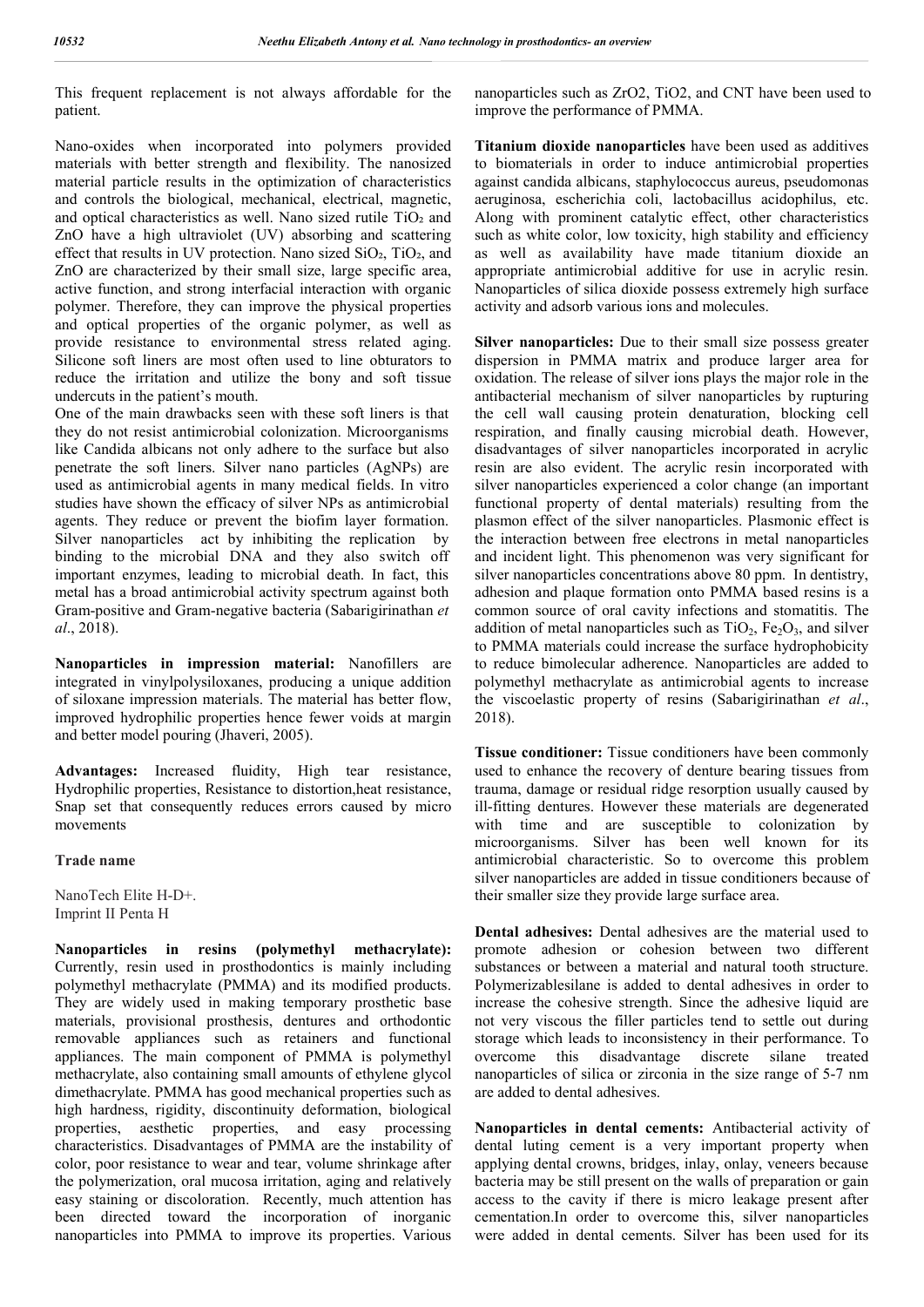This frequent replacement is not always affordable for the patient.

Nano-oxides when incorporated into polymers provided materials with better strength and flexibility. The nanosized material particle results in the optimization of characteristics and controls the biological, mechanical, electrical, magnetic, and optical characteristics as well. Nano sized rutile TiO<sub>2</sub> and ZnO have a high ultraviolet (UV) absorbing and scattering effect that results in UV protection. Nano sized SiO<sub>2</sub>, TiO<sub>2</sub>, and ZnO are characterized by their small size, large specific area, active function, and strong interfacial interaction with organic polymer. Therefore, they can improve the physical properties and optical properties of the organic polymer, as well as provide resistance to environmental stress related aging. Silicone soft liners are most often used to line obturators to reduce the irritation and utilize the bony and soft tissue undercuts in the patient's mouth.

One of the main drawbacks seen with these soft liners is that they do not resist antimicrobial colonization. Microorganisms like Candida albicans not only adhere to the surface but also penetrate the soft liners. Silver nano particles (AgNPs) are used as antimicrobial agents in many medical fields. In vitro studies have shown the efficacy of silver NPs as antimicrobial agents. They reduce or prevent the biofim layer formation. Silver nanoparticles act by inhibiting the replication by binding to the microbial DNA and they also switch off important enzymes, leading to microbial death. In fact, this metal has a broad antimicrobial activity spectrum against both Gram-positive and Gram-negative bacteria (Sabarigirinathan *et al*., 2018).

**Nanoparticles in impression material:** Nanofillers are integrated in vinylpolysiloxanes, producing a unique addition of siloxane impression materials. The material has better flow, improved hydrophilic properties hence fewer voids at margin and better model pouring (Jhaveri, 2005).

**Advantages:** Increased fluidity, High tear resistance, Hydrophilic properties, Resistance to distortion,heat resistance, Snap set that consequently reduces errors caused by micro movements

#### **Trade name**

NanoTech Elite H-D+. Imprint II Penta H

**Nanoparticles in resins (polymethyl methacrylate):** Currently, resin used in prosthodontics is mainly including polymethyl methacrylate (PMMA) and its modified products. They are widely used in making temporary prosthetic base materials, provisional prosthesis, dentures and orthodontic removable appliances such as retainers and functional appliances. The main component of PMMA is polymethyl methacrylate, also containing small amounts of ethylene glycol dimethacrylate. PMMA has good mechanical properties such as high hardness, rigidity, discontinuity deformation, biological properties, aesthetic properties, and easy processing characteristics. Disadvantages of PMMA are the instability of color, poor resistance to wear and tear, volume shrinkage after the polymerization, oral mucosa irritation, aging and relatively easy staining or discoloration. Recently, much attention has been directed toward the incorporation of inorganic nanoparticles into PMMA to improve its properties. Various

nanoparticles such as ZrO2, TiO2, and CNT have been used to improve the performance of PMMA.

**Titanium dioxide nanoparticles** have been used as additives to biomaterials in order to induce antimicrobial properties against candida albicans, staphylococcus aureus, pseudomonas aeruginosa, escherichia coli, lactobacillus acidophilus, etc. Along with prominent catalytic effect, other characteristics such as white color, low toxicity, high stability and efficiency as well as availability have made titanium dioxide an appropriate antimicrobial additive for use in acrylic resin. Nanoparticles of silica dioxide possess extremely high surface activity and adsorb various ions and molecules.

**Silver nanoparticles:** Due to their small size possess greater dispersion in PMMA matrix and produce larger area for oxidation. The release of silver ions plays the major role in the antibacterial mechanism of silver nanoparticles by rupturing the cell wall causing protein denaturation, blocking cell respiration, and finally causing microbial death. However, disadvantages of silver nanoparticles incorporated in acrylic resin are also evident. The acrylic resin incorporated with silver nanoparticles experienced a color change (an important functional property of dental materials) resulting from the plasmon effect of the silver nanoparticles. Plasmonic effect is the interaction between free electrons in metal nanoparticles and incident light. This phenomenon was very significant for silver nanoparticles concentrations above 80 ppm. In dentistry, adhesion and plaque formation onto PMMA based resins is a common source of oral cavity infections and stomatitis. The addition of metal nanoparticles such as  $TiO<sub>2</sub>$ ,  $Fe<sub>2</sub>O<sub>3</sub>$ , and silver to PMMA materials could increase the surface hydrophobicity to reduce bimolecular adherence. Nanoparticles are added to polymethyl methacrylate as antimicrobial agents to increase the viscoelastic property of resins (Sabarigirinathan *et al*., 2018).

**Tissue conditioner:** Tissue conditioners have been commonly used to enhance the recovery of denture bearing tissues from trauma, damage or residual ridge resorption usually caused by ill-fitting dentures. However these materials are degenerated with time and are susceptible to colonization by microorganisms. Silver has been well known for its antimicrobial characteristic. So to overcome this problem silver nanoparticles are added in tissue conditioners because of their smaller size they provide large surface area.

**Dental adhesives:** Dental adhesives are the material used to promote adhesion or cohesion between two different substances or between a material and natural tooth structure. Polymerizablesilane is added to dental adhesives in order to increase the cohesive strength. Since the adhesive liquid are not very viscous the filler particles tend to settle out during storage which leads to inconsistency in their performance. To overcome this disadvantage discrete silane treated nanoparticles of silica or zirconia in the size range of 5-7 nm are added to dental adhesives.

**Nanoparticles in dental cements:** Antibacterial activity of dental luting cement is a very important property when applying dental crowns, bridges, inlay, onlay, veneers because bacteria may be still present on the walls of preparation or gain access to the cavity if there is micro leakage present after cementation.In order to overcome this, silver nanoparticles were added in dental cements. Silver has been used for its